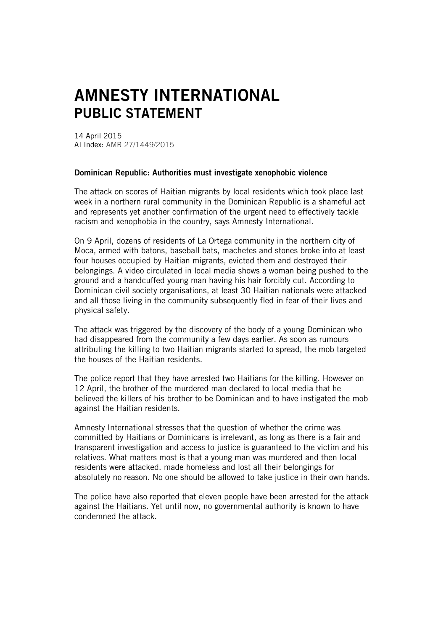## AMNESTY INTERNATIONAL PUBLIC STATEMENT

14 April 2015 AI Index: AMR 27/1449/2015

## Dominican Republic: Authorities must investigate xenophobic violence

The attack on scores of Haitian migrants by local residents which took place last week in a northern rural community in the Dominican Republic is a shameful act and represents yet another confirmation of the urgent need to effectively tackle racism and xenophobia in the country, says Amnesty International.

On 9 April, dozens of residents of La Ortega community in the northern city of Moca, armed with batons, baseball bats, machetes and stones broke into at least four houses occupied by Haitian migrants, evicted them and destroyed their belongings. A video circulated in local media shows a woman being pushed to the ground and a handcuffed young man having his hair forcibly cut. According to Dominican civil society organisations, at least 30 Haitian nationals were attacked and all those living in the community subsequently fled in fear of their lives and physical safety.

The attack was triggered by the discovery of the body of a young Dominican who had disappeared from the community a few days earlier. As soon as rumours attributing the killing to two Haitian migrants started to spread, the mob targeted the houses of the Haitian residents.

The police report that they have arrested two Haitians for the killing. However on 12 April, the brother of the murdered man declared to local media that he believed the killers of his brother to be Dominican and to have instigated the mob against the Haitian residents.

Amnesty International stresses that the question of whether the crime was committed by Haitians or Dominicans is irrelevant, as long as there is a fair and transparent investigation and access to justice is guaranteed to the victim and his relatives. What matters most is that a young man was murdered and then local residents were attacked, made homeless and lost all their belongings for absolutely no reason. No one should be allowed to take justice in their own hands.

The police have also reported that eleven people have been arrested for the attack against the Haitians. Yet until now, no governmental authority is known to have condemned the attack.